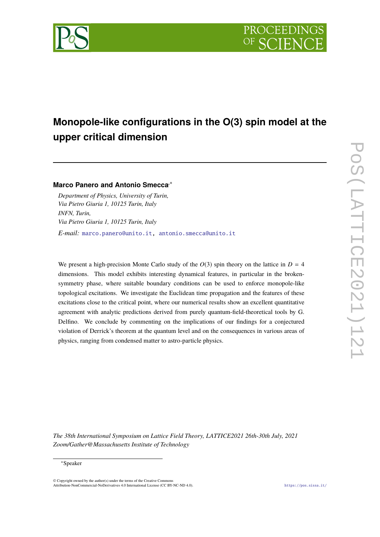



# **Monopole-like configurations in the O(3) spin model at the upper critical dimension**

# **Marco Panero and Antonio Smecca**,<sup>∗</sup>

*Department of Physics, University of Turin, Via Pietro Giuria 1, 10125 Turin, Italy INFN, Turin, Via Pietro Giuria 1, 10125 Turin, Italy E-mail:* [marco.panero@unito.it,](mailto:marco.panero@unito.it) [antonio.smecca@unito.it](mailto:antonio.smecca@unito.it)

We present a high-precision Monte Carlo study of the  $O(3)$  spin theory on the lattice in  $D = 4$ dimensions. This model exhibits interesting dynamical features, in particular in the brokensymmetry phase, where suitable boundary conditions can be used to enforce monopole-like topological excitations. We investigate the Euclidean time propagation and the features of these excitations close to the critical point, where our numerical results show an excellent quantitative agreement with analytic predictions derived from purely quantum-field-theoretical tools by G. Delfino. We conclude by commenting on the implications of our findings for a conjectured violation of Derrick's theorem at the quantum level and on the consequences in various areas of physics, ranging from condensed matter to astro-particle physics.

*The 38th International Symposium on Lattice Field Theory, LATTICE2021 26th-30th July, 2021 Zoom/Gather@Massachusetts Institute of Technology*

#### <sup>∗</sup>Speaker

 $\odot$  Copyright owned by the author(s) under the terms of the Creative Common Attribution-NonCommercial-NoDerivatives 4.0 International License (CC BY-NC-ND 4.0). <https://pos.sissa.it/>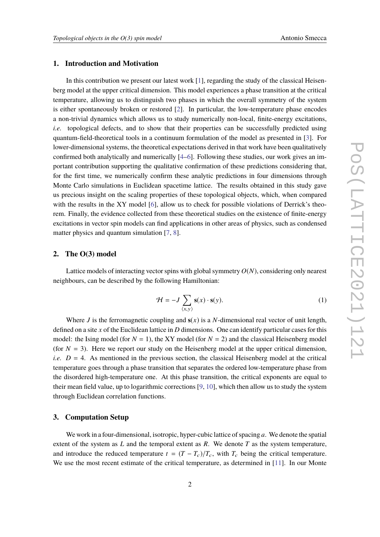# **1. Introduction and Motivation**

In this contribution we present our latest work  $[1]$ , regarding the study of the classical Heisenberg model at the upper critical dimension. This model experiences a phase transition at the critical temperature, allowing us to distinguish two phases in which the overall symmetry of the system is either spontaneously broken or restored [\[2\]](#page-6-1). In particular, the low-temperature phase encodes a non-trivial dynamics which allows us to study numerically non-local, finite-energy excitations, *i.e.* topological defects, and to show that their properties can be successfully predicted using quantum-field-theoretical tools in a continuum formulation of the model as presented in [\[3\]](#page-6-2). For lower-dimensional systems, the theoretical expectations derived in that work have been qualitatively confirmed both analytically and numerically [\[4](#page-6-3)[–6\]](#page-6-4). Following these studies, our work gives an important contribution supporting the qualitative confirmation of these predictions considering that, for the first time, we numerically confirm these analytic predictions in four dimensions through Monte Carlo simulations in Euclidean spacetime lattice. The results obtained in this study gave us precious insight on the scaling properties of these topological objects, which, when compared with the results in the XY model [\[6\]](#page-6-4), allow us to check for possible violations of Derrick's theorem. Finally, the evidence collected from these theoretical studies on the existence of finite-energy excitations in vector spin models can find applications in other areas of physics, such as condensed matter physics and quantum simulation [\[7,](#page-6-5) [8\]](#page-6-6).

## **2. The O(3) model**

Lattice models of interacting vector spins with global symmetry  $O(N)$ , considering only nearest neighbours, can be described by the following Hamiltonian:

$$
\mathcal{H} = -J \sum_{\langle x, y \rangle} \mathbf{s}(x) \cdot \mathbf{s}(y). \tag{1}
$$

Where *J* is the ferromagnetic coupling and  $s(x)$  is a *N*-dimensional real vector of unit length, defined on a site *x* of the Euclidean lattice in *D* dimensions. One can identify particular cases for this model: the Ising model (for  $N = 1$ ), the XY model (for  $N = 2$ ) and the classical Heisenberg model (for  $N = 3$ ). Here we report our study on the Heisenberg model at the upper critical dimension, *i.e.*  $D = 4$ . As mentioned in the previous section, the classical Heisenberg model at the critical temperature goes through a phase transition that separates the ordered low-temperature phase from the disordered high-temperature one. At this phase transition, the critical exponents are equal to their mean field value, up to logarithmic corrections [\[9,](#page-6-7) [10\]](#page-6-8), which then allow us to study the system through Euclidean correlation functions.

## **3. Computation Setup**

We work in a four-dimensional, isotropic, hyper-cubic lattice of spacing *a*. We denote the spatial extent of the system as *L* and the temporal extent as *R*. We denote *T* as the system temperature, and introduce the reduced temperature  $t = (T - T_c)/T_c$ , with  $T_c$  being the critical temperature. We use the most recent estimate of the critical temperature, as determined in [\[11\]](#page-6-9). In our Monte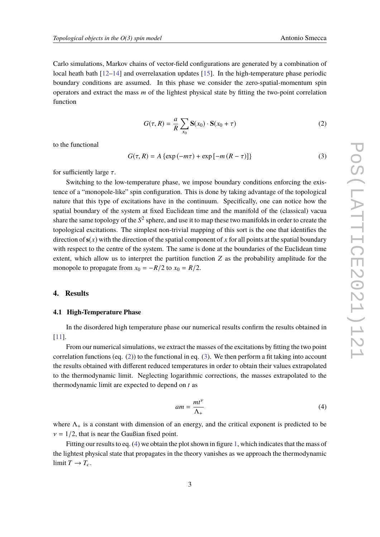Carlo simulations, Markov chains of vector-field configurations are generated by a combination of local heath bath [\[12](#page-6-10)[–14\]](#page-7-0) and overrelaxation updates [\[15\]](#page-7-1). In the high-temperature phase periodic boundary conditions are assumed. In this phase we consider the zero-spatial-momentum spin operators and extract the mass *m* of the lightest physical state by fitting the two-point correlation function

<span id="page-2-0"></span>
$$
G(\tau, R) = \frac{a}{R} \sum_{x_0} \mathbf{S}(x_0) \cdot \mathbf{S}(x_0 + \tau)
$$
 (2)

to the functional

<span id="page-2-1"></span>
$$
G(\tau, R) = A \left\{ \exp\left(-m\tau\right) + \exp\left[-m\left(R - \tau\right)\right] \right\}
$$
 (3)

for sufficiently large  $\tau$ .

Switching to the low-temperature phase, we impose boundary conditions enforcing the existence of a "monopole-like" spin configuration. This is done by taking advantage of the topological nature that this type of excitations have in the continuum. Specifically, one can notice how the spatial boundary of the system at fixed Euclidean time and the manifold of the (classical) vacua share the same topology of the  $S^2$  sphere, and use it to map these two manifolds in order to create the topological excitations. The simplest non-trivial mapping of this sort is the one that identifies the direction of  $s(x)$  with the direction of the spatial component of x for all points at the spatial boundary with respect to the centre of the system. The same is done at the boundaries of the Euclidean time extent, which allow us to interpret the partition function *Z* as the probability amplitude for the monopole to propagate from  $x_0 = -R/2$  to  $x_0 = R/2$ .

#### **4. Results**

## **4.1 High-Temperature Phase**

In the disordered high temperature phase our numerical results confirm the results obtained in [\[11\]](#page-6-9).

From our numerical simulations, we extract the masses of the excitations by fitting the two point correlation functions (eq.  $(2)$ ) to the functional in eq.  $(3)$ . We then perform a fit taking into account the results obtained with different reduced temperatures in order to obtain their values extrapolated to the thermodynamic limit. Neglecting logarithmic corrections, the masses extrapolated to the thermodynamic limit are expected to depend on *t* as

<span id="page-2-2"></span>
$$
am = \frac{mt^{\nu}}{\Lambda_{+}}\tag{4}
$$

where  $\Lambda_{+}$  is a constant with dimension of an energy, and the critical exponent is predicted to be  $v = 1/2$ , that is near the Gaußian fixed point.

Fitting our results to eq. [\(4\)](#page-2-2) we obtain the plot shown in figure [1,](#page-3-0) which indicates that the mass of the lightest physical state that propagates in the theory vanishes as we approach the thermodynamic limit  $T \rightarrow T_c$ .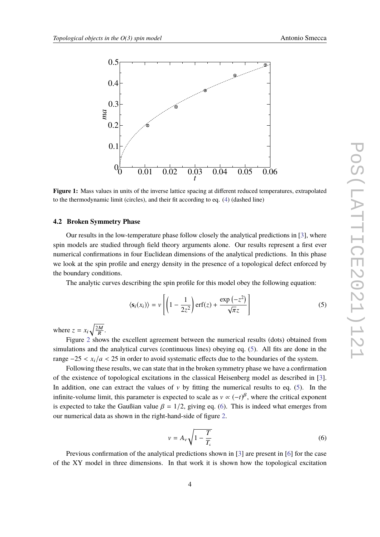<span id="page-3-0"></span>

**Figure 1:** Mass values in units of the inverse lattice spacing at different reduced temperatures, extrapolated to the thermodynamic limit (circles), and their fit according to eq. [\(4\)](#page-2-2) (dashed line)

## **4.2 Broken Symmetry Phase**

Our results in the low-temperature phase follow closely the analytical predictions in [\[3\]](#page-6-2), where spin models are studied through field theory arguments alone. Our results represent a first ever numerical confirmations in four Euclidean dimensions of the analytical predictions. In this phase we look at the spin profile and energy density in the presence of a topological defect enforced by the boundary conditions.

The analytic curves describing the spin profile for this model obey the following equation:

<span id="page-3-1"></span>
$$
\langle \mathbf{s}_i(x_i) \rangle = v \left[ \left( 1 - \frac{1}{2z^2} \right) \text{erf}(z) + \frac{\exp(-z^2)}{\sqrt{\pi}z} \right] \tag{5}
$$

where  $z = x_i \sqrt{\frac{2M}{R}}$ .

Figure [2](#page-4-0) shows the excellent agreement between the numerical results (dots) obtained from simulations and the analytical curves (continuous lines) obeying eq. [\(5\)](#page-3-1). All fits are done in the range  $-25 < x_i/a < 25$  in order to avoid systematic effects due to the boundaries of the system.

Following these results, we can state that in the broken symmetry phase we have a confirmation of the existence of topological excitations in the classical Heisenberg model as described in [\[3\]](#page-6-2). In addition, one can extract the values of v by fitting the numerical results to eq. [\(5\)](#page-3-1). In the infinite-volume limit, this parameter is expected to scale as  $v \propto (-t)^\beta$ , where the critical exponent is expected to take the Gaußian value  $\beta = 1/2$ , giving eq. [\(6\)](#page-3-2). This is indeed what emerges from our numerical data as shown in the right-hand-side of figure [2.](#page-4-0)

<span id="page-3-2"></span>
$$
v = A_v \sqrt{1 - \frac{T}{T_c}}
$$
\n<sup>(6)</sup>

Previous confirmation of the analytical predictions shown in [\[3\]](#page-6-2) are present in [\[6\]](#page-6-4) for the case of the XY model in three dimensions. In that work it is shown how the topological excitation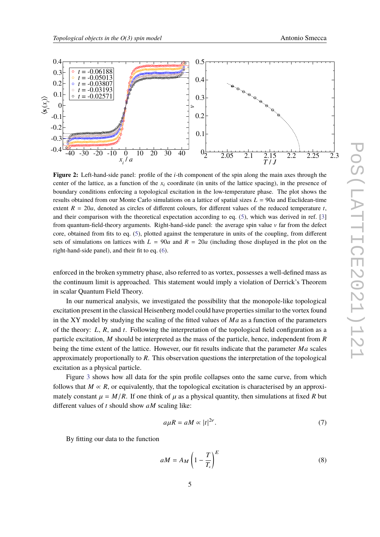<span id="page-4-0"></span>

**Figure 2:** Left-hand-side panel: profile of the *i*-th component of the spin along the main axes through the center of the lattice, as a function of the *x*<sup>i</sup> coordinate (in units of the lattice spacing), in the presence of boundary conditions enforcing a topological excitation in the low-temperature phase. The plot shows the results obtained from our Monte Carlo simulations on a lattice of spatial sizes *L* = 90*a* and Euclidean-time extent  $R = 20a$ , denoted as circles of different colours, for different values of the reduced temperature  $t$ , and their comparison with the theoretical expectation according to eq. [\(5\)](#page-3-1), which was derived in ref. [\[3\]](#page-6-2) from quantum-field-theory arguments. Right-hand-side panel: the average spin value v far from the defect core, obtained from fits to eq. [\(5\)](#page-3-1), plotted against the temperature in units of the coupling, from different sets of simulations on lattices with  $L = 90a$  and  $R = 20a$  (including those displayed in the plot on the right-hand-side panel), and their fit to eq. [\(6\)](#page-3-2).

enforced in the broken symmetry phase, also referred to as vortex, possesses a well-defined mass as the continuum limit is approached. This statement would imply a violation of Derrick's Theorem in scalar Quantum Field Theory.

In our numerical analysis, we investigated the possibility that the monopole-like topological excitation present in the classical Heisenberg model could have properties similar to the vortex found in the XY model by studying the scaling of the fitted values of *Ma* as a function of the parameters of the theory: *L*, *R*, and *t*. Following the interpretation of the topological field configuration as a particle excitation, *M* should be interpreted as the mass of the particle, hence, independent from *R* being the time extent of the lattice. However, our fit results indicate that the parameter *Ma* scales approximately proportionally to *R*. This observation questions the interpretation of the topological excitation as a physical particle.

Figure [3](#page-5-0) shows how all data for the spin profile collapses onto the same curve, from which follows that  $M \propto R$ , or equivalently, that the topological excitation is characterised by an approximately constant  $\mu = M/R$ . If one think of  $\mu$  as a physical quantity, then simulations at fixed R but different values of *t* should show *aM* scaling like:

$$
a\mu R = aM \propto |t|^{2\nu}.\tag{7}
$$

By fitting our data to the function

<span id="page-4-1"></span>
$$
aM = A_M \left(1 - \frac{T}{T_c}\right)^E \tag{8}
$$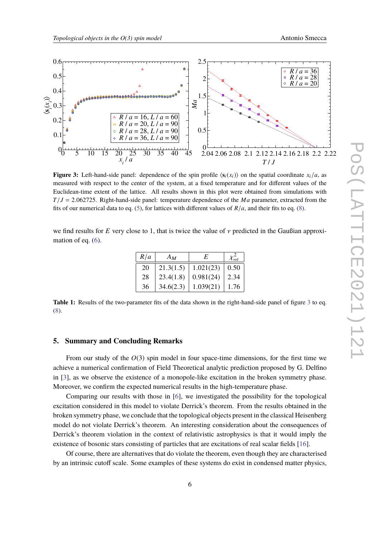<span id="page-5-0"></span>

**Figure 3:** Left-hand-side panel: dependence of the spin profile  $\langle s_i(x_i) \rangle$  on the spatial coordinate  $x_i/a$ , as measured with respect to the center of the system, at a fixed temperature and for different values of the Euclidean-time extent of the lattice. All results shown in this plot were obtained from simulations with  $T/J = 2.062725$ . Right-hand-side panel: temperature dependence of the *Ma* parameter, extracted from the fits of our numerical data to eq. [\(5\)](#page-3-1), for lattices with different values of  $R/a$ , and their fits to eq. [\(8\)](#page-4-1).

we find results for  $E$  very close to 1, that is twice the value of  $\nu$  predicted in the Gaußian approximation of eq.  $(6)$ .

| R/a | $A_M$     | E         | $\mathcal{X}_\mathrm{red}$ |
|-----|-----------|-----------|----------------------------|
| 20  | 21.3(1.5) | 1.021(23) | 0.50                       |
| 28  | 23.4(1.8) | 0.981(24) | 2.34                       |
| 36  | 34.6(2.3) | 1.039(21) | 1.76                       |
|     |           |           |                            |

**Table 1:** Results of the two-parameter fits of the data shown in the right-hand-side panel of figure [3](#page-5-0) to eq. [\(8\)](#page-4-1).

# **5. Summary and Concluding Remarks**

From our study of the *O*(3) spin model in four space-time dimensions, for the first time we achieve a numerical confirmation of Field Theoretical analytic prediction proposed by G. Delfino in [\[3\]](#page-6-2), as we observe the existence of a monopole-like excitation in the broken symmetry phase. Moreover, we confirm the expected numerical results in the high-temperature phase.

Comparing our results with those in [\[6\]](#page-6-4), we investigated the possibility for the topological excitation considered in this model to violate Derrick's theorem. From the results obtained in the broken symmetry phase, we conclude that the topological objects present in the classical Heisenberg model do not violate Derrick's theorem. An interesting consideration about the consequences of Derrick's theorem violation in the context of relativistic astrophysics is that it would imply the existence of bosonic stars consisting of particles that are excitations of real scalar fields [\[16\]](#page-7-2).

Of course, there are alternatives that do violate the theorem, even though they are characterised by an intrinsic cutoff scale. Some examples of these systems do exist in condensed matter physics,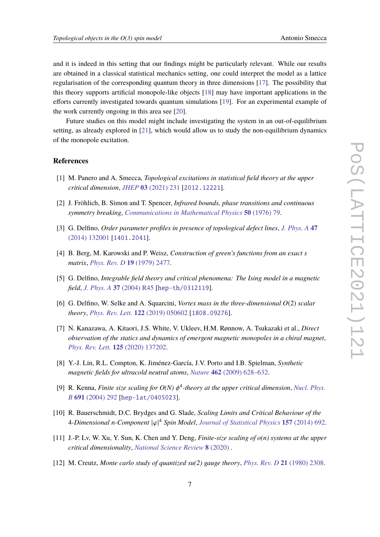and it is indeed in this setting that our findings might be particularly relevant. While our results are obtained in a classical statistical mechanics setting, one could interpret the model as a lattice regularisation of the corresponding quantum theory in three dimensions [\[17\]](#page-7-3). The possibility that this theory supports artificial monopole-like objects [\[18\]](#page-7-4) may have important applications in the efforts currently investigated towards quantum simulations [\[19\]](#page-7-5). For an experimental example of the work currently ongoing in this area see [\[20\]](#page-7-6).

Future studies on this model might include investigating the system in an out-of-equilibrium setting, as already explored in [\[21\]](#page-7-7), which would allow us to study the non-equilibrium dynamics of the monopole excitation.

## **References**

- <span id="page-6-0"></span>[1] M. Panero and A. Smecca, *Topological excitations in statistical field theory at the upper critical dimension*, *JHEP* **03** [\(2021\) 231](https://doi.org/10.1007/JHEP03(2021)231) [[2012.12221](https://arxiv.org/abs/2012.12221)].
- <span id="page-6-1"></span>[2] J. Fröhlich, B. Simon and T. Spencer, *Infrared bounds, phase transitions and continuous symmetry breaking*, *[Communications in Mathematical Physics](https://doi.org/10.1007/BF01608557)* **50** (1976) 79.
- <span id="page-6-2"></span>[3] G. Delfino, *Order parameter profiles in presence of topological defect lines*, *[J. Phys. A](https://doi.org/10.1088/1751-8113/47/13/132001)* **47** [\(2014\) 132001](https://doi.org/10.1088/1751-8113/47/13/132001) [[1401.2041](https://arxiv.org/abs/1401.2041)].
- <span id="page-6-3"></span>[4] B. Berg, M. Karowski and P. Weisz, *Construction of green's functions from an exact s matrix*, *[Phys. Rev. D](https://doi.org/10.1103/PhysRevD.19.2477)* **19** (1979) 2477.
- [5] G. Delfino, *Integrable field theory and critical phenomena: The Ising model in a magnetic field*, *J. Phys. A* **37** [\(2004\) R45](https://doi.org/10.1088/0305-4470/37/14/R01) [[hep-th/0312119](https://arxiv.org/abs/hep-th/0312119)].
- <span id="page-6-4"></span>[6] G. Delfino, W. Selke and A. Squarcini, *Vortex mass in the three-dimensional O*(2) *scalar theory*, *[Phys. Rev. Lett.](https://doi.org/10.1103/PhysRevLett.122.050602)* **122** (2019) 050602 [[1808.09276](https://arxiv.org/abs/1808.09276)].
- <span id="page-6-5"></span>[7] N. Kanazawa, A. Kitaori, J.S. White, V. Ukleev, H.M. Rønnow, A. Tsukazaki et al., *Direct observation of the statics and dynamics of emergent magnetic monopoles in a chiral magnet*, *[Phys. Rev. Lett.](https://doi.org/10.1103/PhysRevLett.125.137202)* **125** (2020) 137202.
- <span id="page-6-6"></span>[8] Y.-J. Lin, R.L. Compton, K. Jiménez-García, J.V. Porto and I.B. Spielman, *Synthetic magnetic fields for ultracold neutral atoms*, *Nature* **462** [\(2009\) 628–632.](https://doi.org/10.1038/nature08609)
- <span id="page-6-7"></span>[9] R. Kenna, *Finite size scaling for*  $O(N)$  *φ*<sup>4</sup>-theory at the upper critical dimension, *[Nucl. Phys.](https://doi.org/10.1016/j.nuclphysb.2004.05.012)*<br> $P_1$  601 (2004) 202 Fhame 1 at (24050221 *B* **691** [\(2004\) 292](https://doi.org/10.1016/j.nuclphysb.2004.05.012) [[hep-lat/0405023](https://arxiv.org/abs/hep-lat/0405023)].
- <span id="page-6-8"></span>[10] R. Bauerschmidt, D.C. Brydges and G. Slade, *Scaling Limits and Critical Behaviour of the* <sup>4</sup>*-Dimensional <sup>n</sup>-Component* <sup>|</sup>ϕ<sup>|</sup> <sup>4</sup> *Spin Model*, *[Journal of Statistical Physics](https://doi.org/10.1007/s10955-014-1060-5)* **157** (2014) 692.
- <span id="page-6-9"></span>[11] J.-P. Lv, W. Xu, Y. Sun, K. Chen and Y. Deng, *Finite-size scaling of o(n) systems at the upper critical dimensionality*, *[National Science Review](https://doi.org/10.1093/nsr/nwaa212)* **8** (2020) .
- <span id="page-6-10"></span>[12] M. Creutz, *Monte carlo study of quantized su(2) gauge theory*, *[Phys. Rev. D](https://doi.org/10.1103/PhysRevD.21.2308)* **21** (1980) 2308.